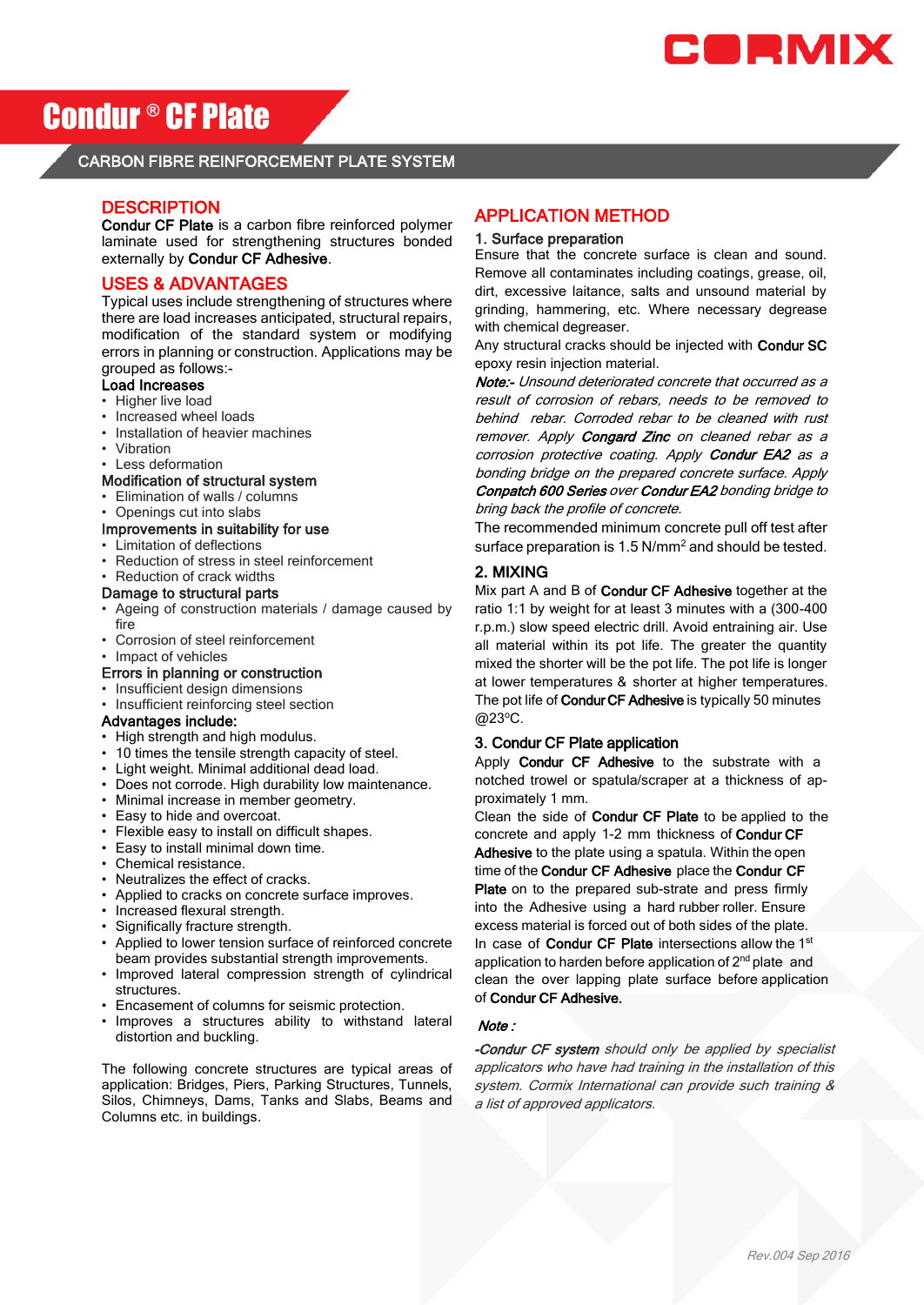

# Condur ® CF Plate

# CARBON FIBRE REINFORCEMENT PLATE SYSTEM

# **DESCRIPTION**

 Condur CF Plate is a carbon fibre reinforced polymer laminate used for strengthening structures bonded externally by Condur CF Adhesive.

# USES & ADVANTAGES

 Typical uses include strengthening of structures where there are load increases anticipated, structural repairs, modification of the standard system or modifying errors in planning or construction. Applications may be grouped as follows:-

# Load Increases

- Higher live load
- Increased wheel loads
- Installation of heavier machines
- Vibration
- Less deformation

# Modification of structural system

- Elimination of walls / columns
- Openings cut into slabs

# Improvements in suitability for use

- Limitation of deflections
- Reduction of stress in steel reinforcement
- Reduction of crack widths

# Damage to structural parts

- Ageing of construction materials / damage caused by fire
- Corrosion of steel reinforcement
- Impact of vehicles

#### Errors in planning or construction

- Insufficient design dimensions
- Insufficient reinforcing steel section

### Advantages include:

- High strength and high modulus.
- 10 times the tensile strength capacity of steel.
- Light weight. Minimal additional dead load.
- Does not corrode. High durability low maintenance.
- Minimal increase in member geometry.
- Easy to hide and overcoat.
- Flexible easy to install on difficult shapes.
- Easy to install minimal down time.
- Chemical resistance.
- Neutralizes the effect of cracks.
- Applied to cracks on concrete surface improves.
- Increased flexural strength.
- Significally fracture strength.
- Applied to lower tension surface of reinforced concrete beam provides substantial strength improvements.
- Improved lateral compression strength of cylindrical structures.
- Encasement of columns for seismic protection.
- Improves a structures ability to withstand lateral distortion and buckling.

The following concrete structures are typical areas of application: Bridges, Piers, Parking Structures, Tunnels, Silos, Chimneys, Dams, Tanks and Slabs, Beams and Columns etc. in buildings.

# APPLICATION METHOD

#### 1. Surface preparation

Ensure that the concrete surface is clean and sound. Remove all contaminates including coatings, grease, oil, dirt, excessive laitance, salts and unsound material by grinding, hammering, etc. Where necessary degrease with chemical degreaser.

Any structural cracks should be injected with Condur SC epoxy resin injection material.

Note:- Unsound deteriorated concrete that occurred as a result of corrosion of rebars, needs to be removed to behind rebar. Corroded rebar to be cleaned with rust remover. Apply Congard Zinc on cleaned rebar as a corrosion protective coating. Apply Condur EA2 as a bonding bridge on the prepared concrete surface. Apply Conpatch 600 Series over Condur EA2 bonding bridge to bring back the profile of concrete.

The recommended minimum concrete pull off test after surface preparation is 1.5 N/mm<sup>2</sup> and should be tested.

### 2. MIXING

Mix part A and B of Condur CF Adhesive together at the ratio 1:1 by weight for at least 3 minutes with a (300-400 r.p.m.) slow speed electric drill. Avoid entraining air. Use all material within its pot life. The greater the quantity mixed the shorter will be the pot life. The pot life is longer at lower temperatures & shorter at higher temperatures. The pot life of **Condur CF Adhesive** is typically 50 minutes @23°C.

### 3. Condur CF Plate application

Apply Condur CF Adhesive to the substrate with a notched trowel or spatula/scraper at a thickness of approximately 1 mm.

Clean the side of Condur CF Plate to be applied to the concrete and apply 1-2 mm thickness of Condur CF Adhesive to the plate using a spatula. Within the open time of the Condur CF Adhesive place the Condur CF Plate on to the prepared sub-strate and press firmly into the Adhesive using a hard rubber roller. Ensure excess material is forced out of both sides of the plate. In case of Condur CF Plate intersections allow the 1st application to harden before application of 2<sup>nd</sup> plate and clean the over lapping plate surface before application of Condur CF Adhesive.

#### Note :

-Condur CF system should only be applied by specialist applicators who have had training in the installation of this system. Cormix International can provide such training & a list of approved applicators.